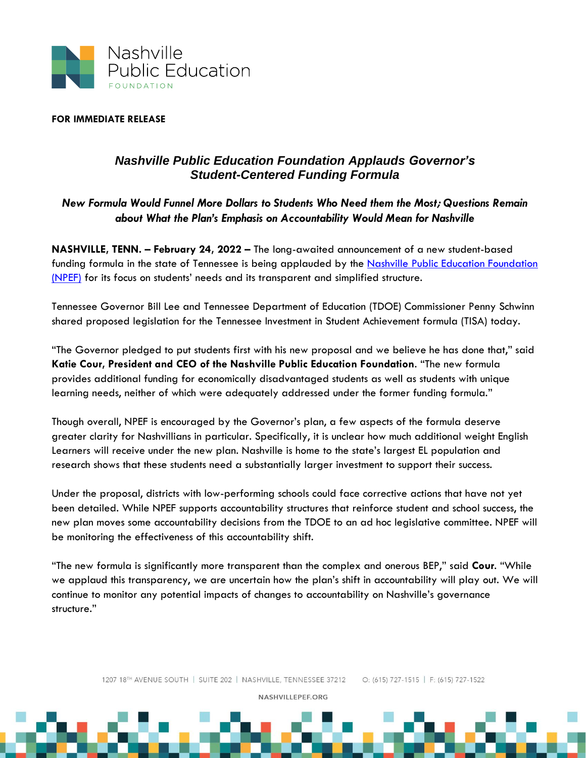

## **FOR IMMEDIATE RELEASE**

## *Nashville Public Education Foundation Applauds Governor's Student-Centered Funding Formula*

## *New Formula Would Funnel More Dollars to Students Who Need them the Most; Questions Remain about What the Plan's Emphasis on Accountability Would Mean for Nashville*

**NASHVILLE, TENN. – February 24, 2022 –** The long-awaited announcement of a new student-based funding formula in the state of Tennessee is being applauded by the Nashville Public Education Foundation [\(NPEF\)](https://nashvillepef.org/) for its focus on students' needs and its transparent and simplified structure.

Tennessee Governor Bill Lee and Tennessee Department of Education (TDOE) Commissioner Penny Schwinn shared proposed legislation for the Tennessee Investment in Student Achievement formula (TISA) today.

"The Governor pledged to put students first with his new proposal and we believe he has done that," said **Katie Cour, President and CEO of the Nashville Public Education Foundation**. "The new formula provides additional funding for economically disadvantaged students as well as students with unique learning needs, neither of which were adequately addressed under the former funding formula."

Though overall, NPEF is encouraged by the Governor's plan, a few aspects of the formula deserve greater clarity for Nashvillians in particular. Specifically, it is unclear how much additional weight English Learners will receive under the new plan. Nashville is home to the state's largest EL population and research shows that these students need a substantially larger investment to support their success.

Under the proposal, districts with low-performing schools could face corrective actions that have not yet been detailed. While NPEF supports accountability structures that reinforce student and school success, the new plan moves some accountability decisions from the TDOE to an ad hoc legislative committee. NPEF will be monitoring the effectiveness of this accountability shift.

"The new formula is significantly more transparent than the complex and onerous BEP," said **Cour**. "While we applaud this transparency, we are uncertain how the plan's shift in accountability will play out. We will continue to monitor any potential impacts of changes to accountability on Nashville's governance structure."